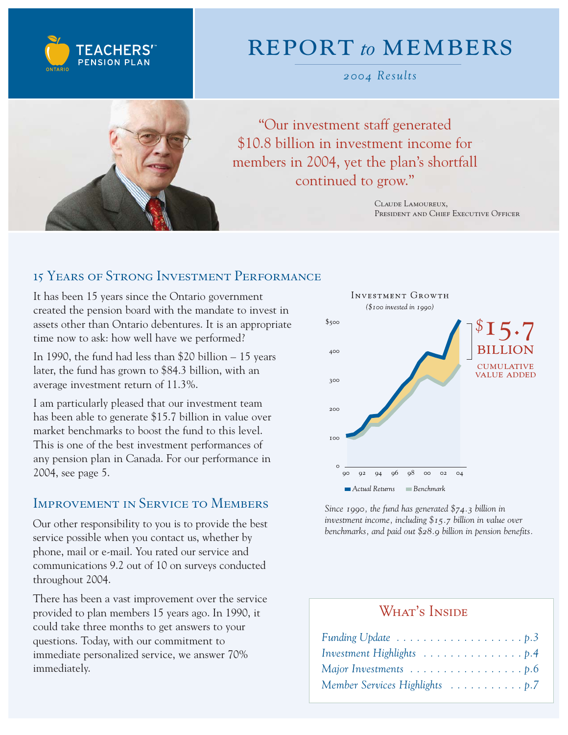

## report *to* members

*2004 Results*



"Our investment staff generated \$10.8 billion in investment income for members in 2004, yet the plan's shortfall continued to grow."

> Claude Lamoureux, President and Chief Executive Officer

## 15 Years of Strong Investment Performance

It has been 15 years since the Ontario government created the pension board with the mandate to invest in assets other than Ontario debentures. It is an appropriate time now to ask: how well have we performed?

In 1990, the fund had less than \$20 billion – 15 years later, the fund has grown to \$84.3 billion, with an average investment return of 11.3%.

I am particularly pleased that our investment team has been able to generate \$15.7 billion in value over market benchmarks to boost the fund to this level. This is one of the best investment performances of any pension plan in Canada. For our performance in 2004, see page 5.

### Improvement in Service to Members

Our other responsibility to you is to provide the best service possible when you contact us, whether by phone, mail or e-mail. You rated our service and communications 9.2 out of 10 on surveys conducted throughout 2004.

There has been a vast improvement over the service provided to plan members 15 years ago. In 1990, it could take three months to get answers to your questions. Today, with our commitment to immediate personalized service, we answer 70% immediately.



*Since 1990, the fund has generated \$74.3 billion in investment income, including \$15.7 billion in value over benchmarks, and paid out \$28.9 billion in pension benefits.*

## WHAT'S INSIDE

| Funding Update $\dots \dots \dots \dots \dots \dots \dots$ |
|------------------------------------------------------------|
|                                                            |
|                                                            |
| Member Services Highlights 7                               |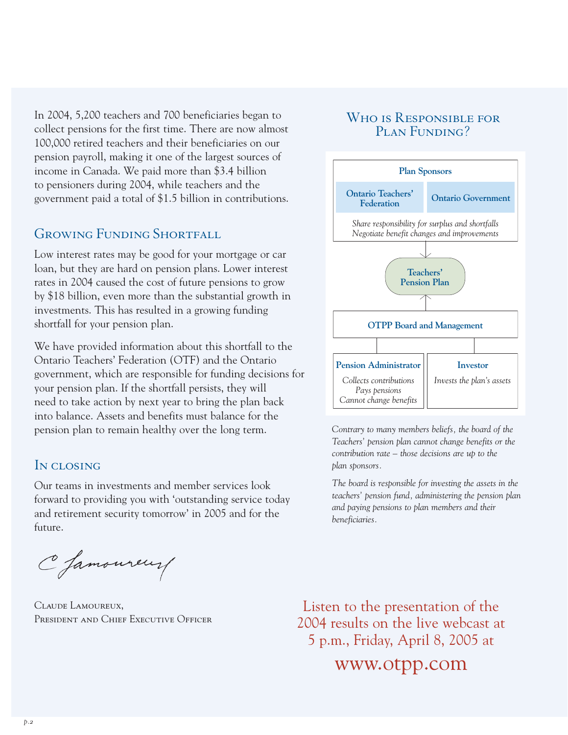In 2004, 5,200 teachers and 700 beneficiaries began to collect pensions for the first time. There are now almost 100,000 retired teachers and their beneficiaries on our pension payroll, making it one of the largest sources of income in Canada. We paid more than \$3.4 billion to pensioners during 2004, while teachers and the government paid a total of \$1.5 billion in contributions.

## GROWING FUNDING SHORTFALL

Low interest rates may be good for your mortgage or car loan, but they are hard on pension plans. Lower interest rates in 2004 caused the cost of future pensions to grow by \$18 billion, even more than the substantial growth in investments. This has resulted in a growing funding shortfall for your pension plan.

We have provided information about this shortfall to the Ontario Teachers' Federation (OTF) and the Ontario government, which are responsible for funding decisions for your pension plan. If the shortfall persists, they will need to take action by next year to bring the plan back into balance. Assets and benefits must balance for the pension plan to remain healthy over the long term.

### IN CLOSING

Our teams in investments and member services look forward to providing you with 'outstanding service today and retirement security tomorrow' in 2005 and for the future.

C famoureur

Claude Lamoureux, PRESIDENT AND CHIEF EXECUTIVE OFFICER

### Who is Responsible for PLAN FUNDING?



Contrary to many members beliefs, the board of the *Teachers' pension plan cannot change benefits or the contribution rate – those decisions are up to the plan sponsors.*

*The board is responsible for investing the assets in the teachers' pension fund, administering the pension plan and paying pensions to plan members and their beneficiaries.* 

Listen to the presentation of the 2004 results on the live webcast at 5 p.m., Friday, April 8, 2005 at

www.otpp.com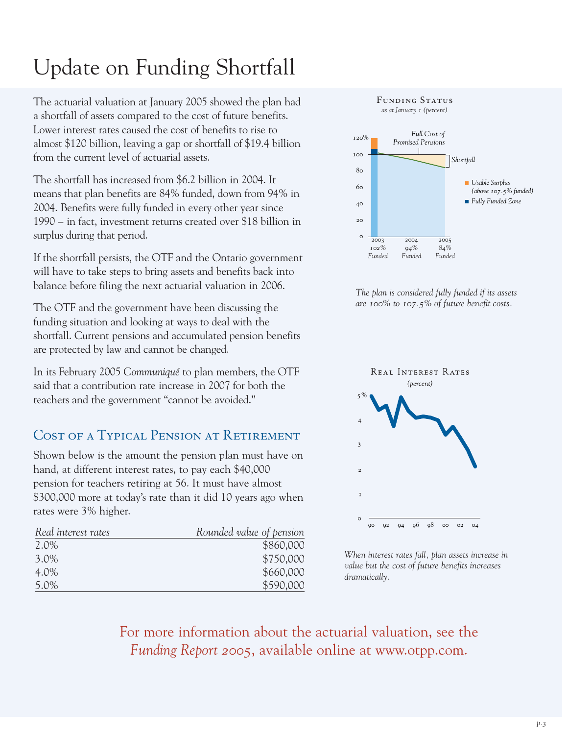# Update on Funding Shortfall

The actuarial valuation at January 2005 showed the plan had a shortfall of assets compared to the cost of future benefits. Lower interest rates caused the cost of benefits to rise to almost \$120 billion, leaving a gap or shortfall of \$19.4 billion from the current level of actuarial assets.

The shortfall has increased from \$6.2 billion in 2004. It means that plan benefits are 84% funded, down from 94% in 2004. Benefits were fully funded in every other year since 1990 – in fact, investment returns created over \$18 billion in surplus during that period.

If the shortfall persists, the OTF and the Ontario government will have to take steps to bring assets and benefits back into balance before filing the next actuarial valuation in 2006.

The OTF and the government have been discussing the funding situation and looking at ways to deal with the shortfall. Current pensions and accumulated pension benefits are protected by law and cannot be changed.

In its February 2005 *Communiqué* to plan members, the OTF said that a contribution rate increase in 2007 for both the teachers and the government "cannot be avoided."

## COST OF A TYPICAL PENSION AT RETIREMENT

Shown below is the amount the pension plan must have on hand, at different interest rates, to pay each \$40,000 pension for teachers retiring at 56. It must have almost \$300,000 more at today's rate than it did 10 years ago when rates were 3% higher.

| Real interest rates | Rounded value of pension |
|---------------------|--------------------------|
| 2.0%                | \$860,000                |
| $3.0\%$             | \$750,000                |
| 4.0%                | \$660,000                |
| 5.0%                | \$590,000                |



*The plan is considered fully funded if its assets are 100% to 107.5% of future benefit costs.*



*When interest rates fall, plan assets increase in value but the cost of future benefits increases dramatically.*

For more information about the actuarial valuation, see the *Funding Report 2005*, available online at www.otpp.com.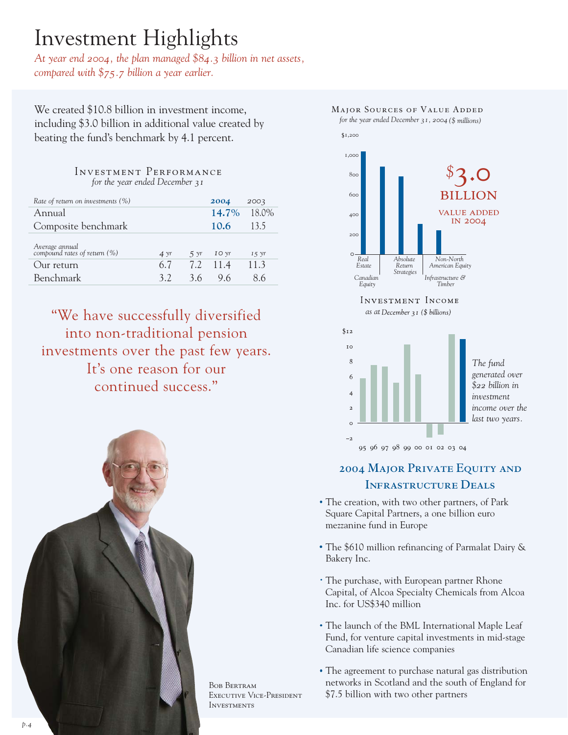## Investment Highlights

*At year end 2004, the plan managed \$84.3 billion in net assets, compared with \$75.7 billion a year earlier.* 

We created \$10.8 billion in investment income, including \$3.0 billion in additional value created by beating the fund's benchmark by 4.1 percent.

#### Investment Performance *for the year ended December 31*

| Rate of return on investments (%)              |                |                | 2004            | 2003           |
|------------------------------------------------|----------------|----------------|-----------------|----------------|
| Annual                                         |                |                | 14.7%           | 18.0%          |
| Composite benchmark                            |                |                | 10.6            | 13.5           |
| Average annual<br>compound rates of return (%) | $4 \text{ yr}$ | $5 \text{ yr}$ | $IO$ $\gamma r$ | $I 5 \gamma r$ |
| Our return                                     | 6.7            |                | 7.2 11.4        | 11.3           |
| Benchmark                                      | 32             | 36             | 9.6             | 86             |

"We have successfully diversified into non-traditional pension investments over the past few years. It's one reason for our continued success."



Bob Bertram Executive Vice-President **INVESTMENTS** 



## **2004 Major Private Equity and Infrastructure Deals**

- The creation, with two other partners, of Park Square Capital Partners, a one billion euro mezzanine fund in Europe
- The \$610 million refinancing of Parmalat Dairy & Bakery Inc.
- The purchase, with European partner Rhone Capital, of Alcoa Specialty Chemicals from Alcoa Inc. for US\$340 million
- The launch of the BML International Maple Leaf Fund, for venture capital investments in mid-stage Canadian life science companies
- The agreement to purchase natural gas distribution networks in Scotland and the south of England for \$7.5 billion with two other partners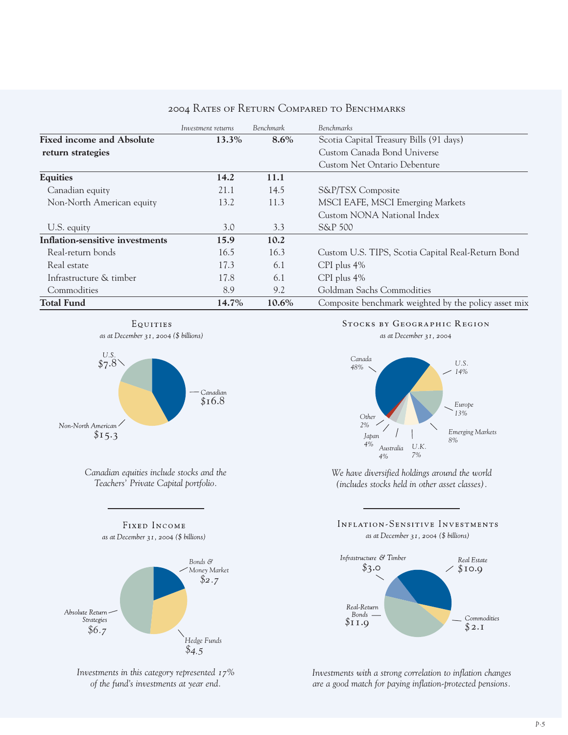|                                  | Investment returns | Benchmark | <b>Benchmarks</b>                                    |
|----------------------------------|--------------------|-----------|------------------------------------------------------|
| <b>Fixed income and Absolute</b> | 13.3%              | $8.6\%$   | Scotia Capital Treasury Bills (91 days)              |
| return strategies                |                    |           | Custom Canada Bond Universe                          |
|                                  |                    |           | Custom Net Ontario Debenture                         |
| <b>Equities</b>                  | 14.2               | 11.1      |                                                      |
| Canadian equity                  | 21.1               | 14.5      | S&P/TSX Composite                                    |
| Non-North American equity        | 13.2               | 11.3      | MSCI EAFE, MSCI Emerging Markets                     |
|                                  |                    |           | Custom NONA National Index                           |
| U.S. equity                      | 3.0                | 3.3       | S&P 500                                              |
| Inflation-sensitive investments  | 15.9               | 10.2      |                                                      |
| Real-return bonds                | 16.5               | 16.3      | Custom U.S. TIPS, Scotia Capital Real-Return Bond    |
| Real estate                      | 17.3               | 6.1       | $CPI$ plus $4\%$                                     |
| Infrastructure & timber          | 17.8               | 6.1       | $CPI$ plus $4\%$                                     |
| Commodities                      | 8.9                | 9.2       | Goldman Sachs Commodities                            |
| <b>Total Fund</b>                | 14.7%              | 10.6%     | Composite benchmark weighted by the policy asset mix |

#### 2004 Rates of Return Compared to Benchmarks





*Canadian equities include stocks and the Teachers' Private Capital portfolio.*

FIXED INCOME



*Investments in this category represented 17% of the fund's investments at year end.*

#### **Stocks by Geographic Region**



*We have diversified holdings around the world (includes stocks held in other asset classes).*

#### INFLATION-SENSITIVE INVESTMENTS as at December 31, 2004 (\$ billions)



*Investments with a strong correlation to inflation changes are a good match for paying inflation-protected pensions.*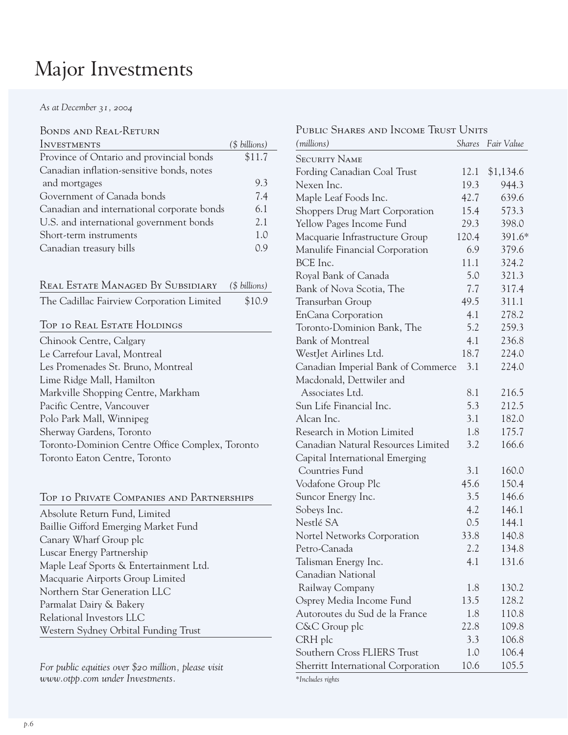## Major Investments

*As at December 31, 2004*

| BONDS AND REAL-RETURN                      |               |
|--------------------------------------------|---------------|
| <b>INVESTMENTS</b>                         | (\$ billions) |
| Province of Ontario and provincial bonds   | \$11.7        |
| Canadian inflation-sensitive bonds, notes  |               |
| and mortgages                              | 9.3           |
| Government of Canada bonds                 | 7.4           |
| Canadian and international corporate bonds | 6.1           |
| U.S. and international government bonds    | 2.1           |
| Short-term instruments                     | 1.0           |
| Canadian treasury bills                    | Ωq            |
|                                            |               |

| REAL ESTATE MANAGED BY SUBSIDIARY (\$ billions) |        |
|-------------------------------------------------|--------|
| The Cadillac Fairview Corporation Limited       | \$10.9 |

### Top 10 Real Estate Holdings

| Chinook Centre, Calgary                         |
|-------------------------------------------------|
| Le Carrefour Laval, Montreal                    |
| Les Promenades St. Bruno, Montreal              |
| Lime Ridge Mall, Hamilton                       |
| Markville Shopping Centre, Markham              |
| Pacific Centre, Vancouver                       |
| Polo Park Mall, Winnipeg                        |
| Sherway Gardens, Toronto                        |
| Toronto-Dominion Centre Office Complex, Toronto |
| Toronto Eaton Centre, Toronto                   |

|  |  |  |  |  |  | TOP TO PRIVATE COMPANIES AND PARTNERSHIPS |
|--|--|--|--|--|--|-------------------------------------------|
|--|--|--|--|--|--|-------------------------------------------|

Absolute Return Fund, Limited Baillie Gifford Emerging Market Fund Canary Wharf Group plc Luscar Energy Partnership Maple Leaf Sports & Entertainment Ltd. Macquarie Airports Group Limited Northern Star Generation LLC Parmalat Dairy & Bakery Relational Investors LLC Western Sydney Orbital Funding Trust

*For public equities over \$20 million, please visit www.otpp.com under Investments.*

| PUBLIC SHARES AND INCOME TRUST UNITS |               |            |
|--------------------------------------|---------------|------------|
| (millions)                           | <b>Shares</b> | Fair Value |
| <b>SECURITY NAME</b>                 |               |            |
| Fording Canadian Coal Trust          | 12.1          | \$1,134.6  |
| Nexen Inc.                           | 19.3          | 944.3      |
| Maple Leaf Foods Inc.                | 42.7          | 639.6      |
| Shoppers Drug Mart Corporation       | 15.4          | 573.3      |
| Yellow Pages Income Fund             | 29.3          | 398.0      |
| Macquarie Infrastructure Group       | 120.4         | 391.6*     |
| Manulife Financial Corporation       | 6.9           | 379.6      |
| BCE Inc.                             | 11.1          | 324.2      |
| Royal Bank of Canada                 | 5.0           | 321.3      |
| Bank of Nova Scotia, The             | 7.7           | 317.4      |
| Transurban Group                     | 49.5          | 311.1      |
| <b>EnCana Corporation</b>            | 4.1           | 278.2      |
| Toronto-Dominion Bank, The           | 5.2           | 259.3      |
| <b>Bank of Montreal</b>              | 4.1           | 236.8      |
| WestJet Airlines Ltd.                | 18.7          | 224.0      |
| Canadian Imperial Bank of Commerce   | 3.1           | 224.0      |
| Macdonald, Dettwiler and             |               |            |
| Associates Ltd.                      | 8.1           | 216.5      |
| Sun Life Financial Inc.              | 5.3           | 212.5      |
| Alcan Inc.                           | 3.1           | 182.0      |
| Research in Motion Limited           | 1.8           | 175.7      |
| Canadian Natural Resources Limited   | 3.2           | 166.6      |
| Capital International Emerging       |               |            |
| Countries Fund                       | 3.1           | 160.0      |
| Vodafone Group Plc                   | 45.6          | 150.4      |
| Suncor Energy Inc.                   | 3.5           | 146.6      |
| Sobeys Inc.                          | 4.2           | 146.1      |
| Nestlé SA                            | 0.5           | 144.1      |
| Nortel Networks Corporation          | 33.8          | 140.8      |
| Petro-Canada                         | 2.2           | 134.8      |
| Talisman Energy Inc.                 | 4.1           | 131.6      |
| Canadian National                    |               |            |
| Railway Company                      | 1.8           | 130.2      |
| Osprey Media Income Fund             | 13.5          | 128.2      |
| Autoroutes du Sud de la France       | 1.8           | 110.8      |
| C&C Group plc                        | 22.8          | 109.8      |
| CRH plc                              | 3.3           | 106.8      |
| Southern Cross FLIERS Trust          | 1.0           | 106.4      |
| Sherritt International Corporation   | 10.6          | 105.5      |

*\*Includes rights*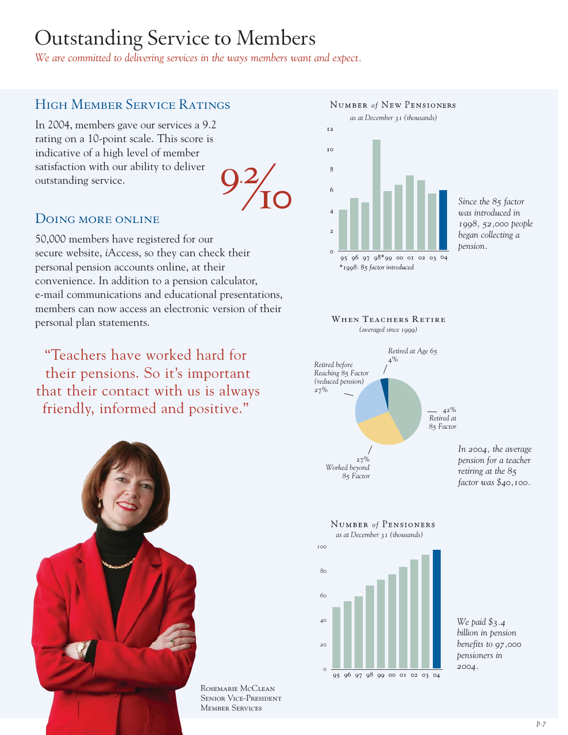## Outstanding Service to Members

*We are committed to delivering services in the ways members want and expect.*

## High Member Service Ratings

In 2004, members gave our services a 9.2 rating on a 10-point scale. This score is indicative of a high level of member satisfaction with our ability to deliver outstanding service.

### DOING MORE ONLINE

50,000 members have registered for our secure website, *i*Access, so they can check their personal pension accounts online, at their convenience. In addition to a pension calculator, e-mail communications and educational presentations, members can now access an electronic version of their personal plan statements.

"Teachers have worked hard for their pensions. So it's important that their contact with us is always friendly, informed and positive."



Rosemarie McClean Senior Vice-President Member Services



*Since the 85 factor was introduced in 1998, 52,000 people began collecting a pension.*





*In 2004, the average pension for a teacher retiring at the 85 factor was \$40,100.*



*We paid \$3.4 billion in pension benefits to 97,000 pensioners in 2004.*